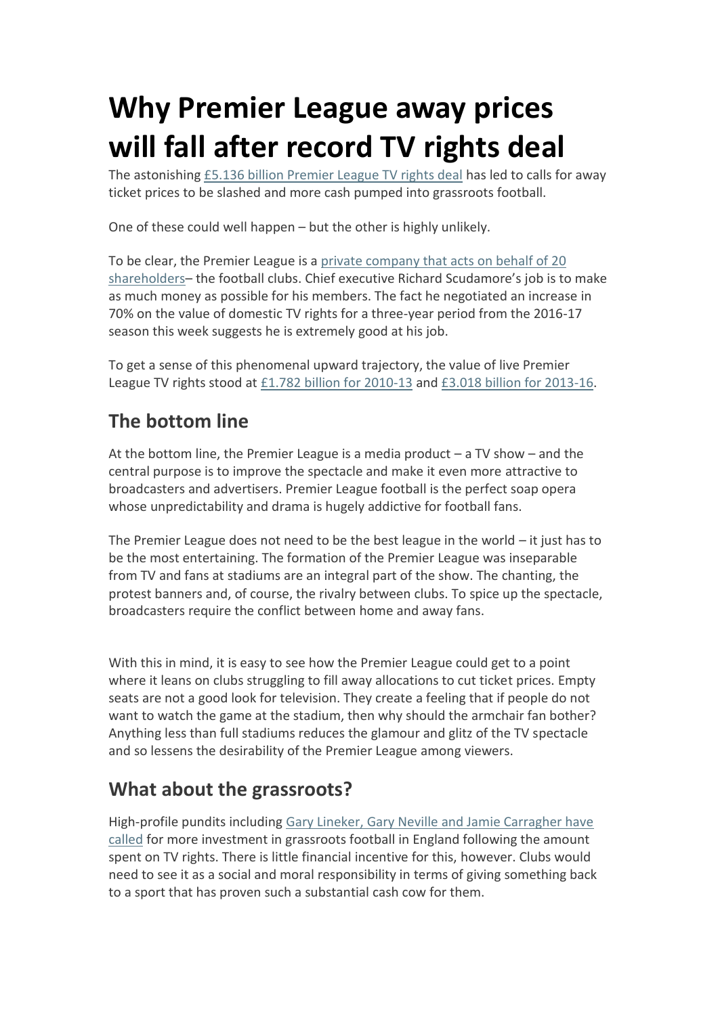## **Why Premier League away prices will fall after record TV rights deal**

The astonishing [£5.136 billion Premier League TV rights deal](http://www.bbc.co.uk/sport/0/football/31357409) has led to calls for away ticket prices to be slashed and more cash pumped into grassroots football.

One of these could well happen – but the other is highly unlikely.

To be clear, the Premier League is a [private company that acts on behalf of 20](http://www.bbc.co.uk/sport/0/football/31384481)  [shareholders](http://www.bbc.co.uk/sport/0/football/31384481)– the football clubs. Chief executive Richard Scudamore's job is to make as much money as possible for his members. The fact he negotiated an increase in 70% on the value of domestic TV rights for a three-year period from the 2016-17 season this week suggests he is extremely good at his job.

To get a sense of this phenomenal upward trajectory, the value of live Premier League TV rights stood at [£1.782 billion for 2010-13](http://www.independent.co.uk/sport/football/premier-league/163178bn-record-premier-league-tv-deal-defies-economic-slump-1569576.html) and [£3.018 billion for 2013-16.](http://www.bbc.co.uk/news/business-18430036)

## **The bottom line**

At the bottom line, the Premier League is a media product – a TV show – and the central purpose is to improve the spectacle and make it even more attractive to broadcasters and advertisers. Premier League football is the perfect soap opera whose unpredictability and drama is hugely addictive for football fans.

The Premier League does not need to be the best league in the world  $-$  it just has to be the most entertaining. The formation of the Premier League was inseparable from TV and fans at stadiums are an integral part of the show. The chanting, the protest banners and, of course, the rivalry between clubs. To spice up the spectacle, broadcasters require the conflict between home and away fans.

With this in mind, it is easy to see how the Premier League could get to a point where it leans on clubs struggling to fill away allocations to cut ticket prices. Empty seats are not a good look for television. They create a feeling that if people do not want to watch the game at the stadium, then why should the armchair fan bother? Anything less than full stadiums reduces the glamour and glitz of the TV spectacle and so lessens the desirability of the Premier League among viewers.

## **What about the grassroots?**

High-profile pundits including [Gary Lineker, Gary Neville and Jamie Carragher have](http://www.dailymail.co.uk/sport/football/article-2948058/Premier-League-TV-rights-reaction-Jamie-Carragher-react-staggering-5bn-deal-Sky-continue-dominate.html)  [called](http://www.dailymail.co.uk/sport/football/article-2948058/Premier-League-TV-rights-reaction-Jamie-Carragher-react-staggering-5bn-deal-Sky-continue-dominate.html) for more investment in grassroots football in England following the amount spent on TV rights. There is little financial incentive for this, however. Clubs would need to see it as a social and moral responsibility in terms of giving something back to a sport that has proven such a substantial cash cow for them.